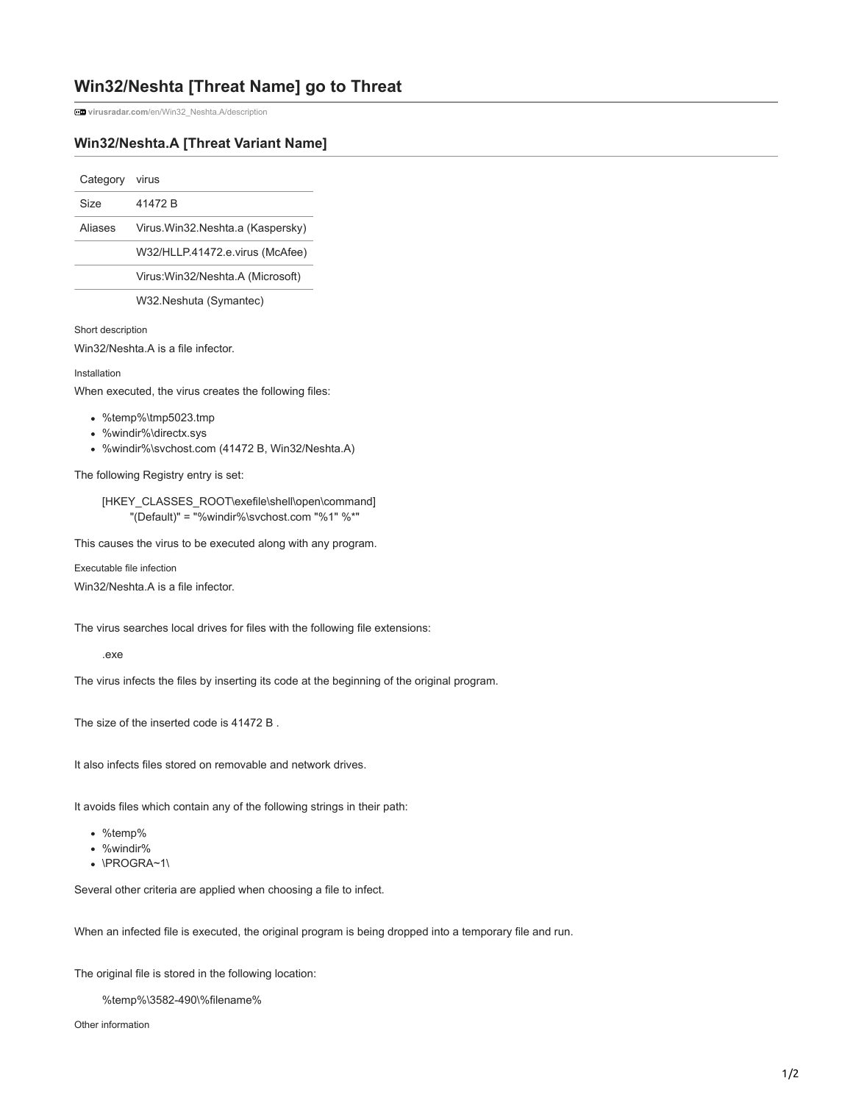## **Win32/Neshta [Threat Name] go to Threat**

**virusradar.com**[/en/Win32\\_Neshta.A/description](https://www.virusradar.com/en/Win32_Neshta.A/description)

## **Win32/Neshta.A [Threat Variant Name]**

Category virus

| Size    | 41472 B                            |
|---------|------------------------------------|
| Aliases | Virus. Win32. Neshta.a (Kaspersky) |
|         | W32/HLLP.41472.e.virus (McAfee)    |

Virus:Win32/Neshta.A (Microsoft)

W32.Neshuta (Symantec)

Short description

Win32/Neshta.A is a file infector.

## Installation

When executed, the virus creates the following files:

- %temp%\tmp5023.tmp
- %windir%\ directx.sys
- %windir%\ svchost.com (41472 B, Win32/Neshta.A)

The following Registry entry is set:

[HKEY\_CLASSES\_ROOT\exefile\shell\open\command] "(Default)" = "%windir%\svchost.com "%1" %\*"

This causes the virus to be executed along with any program.

Executable file infection

Win32/Neshta.A is a file infector.

The virus searches local drives for files with the following file extensions:

.exe

The virus infects the files by inserting its code at the beginning of the original program.

The size of the inserted code is 41472 B .

It also infects files stored on removable and network drives.

It avoids files which contain any of the following strings in their path:

- %temp%
- %windir%
- \PROGRA~1\

Several other criteria are applied when choosing a file to infect.

When an infected file is executed, the original program is being dropped into a temporary file and run.

The original file is stored in the following location:

%temp%\3582-490\%filename%

Other information